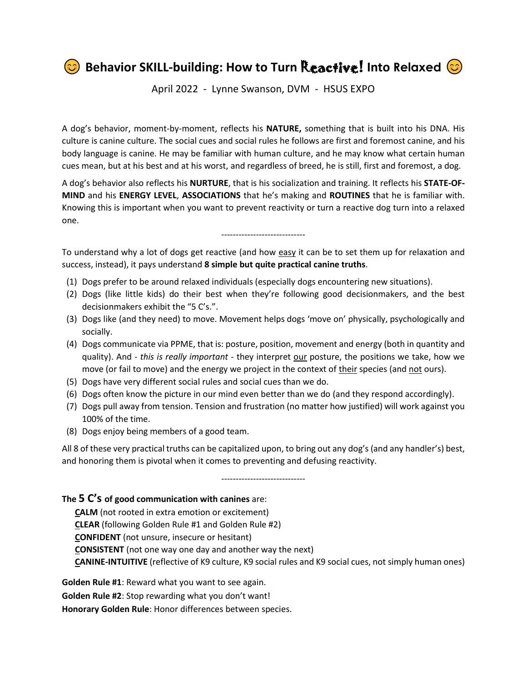**Behavior SKILL-building: How to Turn Reactive! Into Relaxed**  $\odot$ 

April 2022 - Lynne Swanson, DVM - HSUS EXPO

A dog's behavior, moment-by-moment, reflects his **NATURE,** something that is built into his DNA. His culture is canine culture. The social cues and social rules he follows are first and foremost canine, and his body language is canine. He may be familiar with human culture, and he may know what certain human cues mean, but at his best and at his worst, and regardless of breed, he is still, first and foremost, a dog.

A dog's behavior also reflects his **NURTURE**, that is his socialization and training. It reflects his **STATE-OF-MIND** and his **ENERGY LEVEL**, **ASSOCIATIONS** that he's making and **ROUTINES** that he is familiar with. Knowing this is important when you want to prevent reactivity or turn a reactive dog turn into a relaxed one.

To understand why a lot of dogs get reactive (and how easy it can be to set them up for relaxation and success, instead), it pays understand **8 simple but quite practical canine truths**.

-----------------------------

- (1) Dogs prefer to be around relaxed individuals (especially dogs encountering new situations).
- (2) Dogs (like little kids) do their best when they're following good decisionmakers, and the best decisionmakers exhibit the "5 C's.".
- (3) Dogs like (and they need) to move. Movement helps dogs 'move on' physically, psychologically and socially.
- (4) Dogs communicate via PPME, that is: posture, position, movement and energy (both in quantity and quality). And - *this is really important* - they interpret our posture, the positions we take, how we move (or fail to move) and the energy we project in the context of their species (and not ours).
- (5) Dogs have very different social rules and social cues than we do.
- (6) Dogs often know the picture in our mind even better than we do (and they respond accordingly).
- (7) Dogs pull away from tension. Tension and frustration (no matter how justified) will work against you 100% of the time.
- (8) Dogs enjoy being members of a good team.

All 8 of these very practical truths can be capitalized upon, to bring out any dog's (and any handler's) best, and honoring them is pivotal when it comes to preventing and defusing reactivity.

-----------------------------

## **The 5 C's of good communication with canines** are:

 **CALM** (not rooted in extra emotion or excitement) **CLEAR** (following Golden Rule #1 and Golden Rule #2) **CONFIDENT** (not unsure, insecure or hesitant) **CONSISTENT** (not one way one day and another way the next) **CANINE-INTUITIVE** (reflective of K9 culture, K9 social rules and K9 social cues, not simply human ones)

**Golden Rule #1**: Reward what you want to see again. **Golden Rule #2**: Stop rewarding what you don't want! **Honorary Golden Rule**: Honor differences between species.